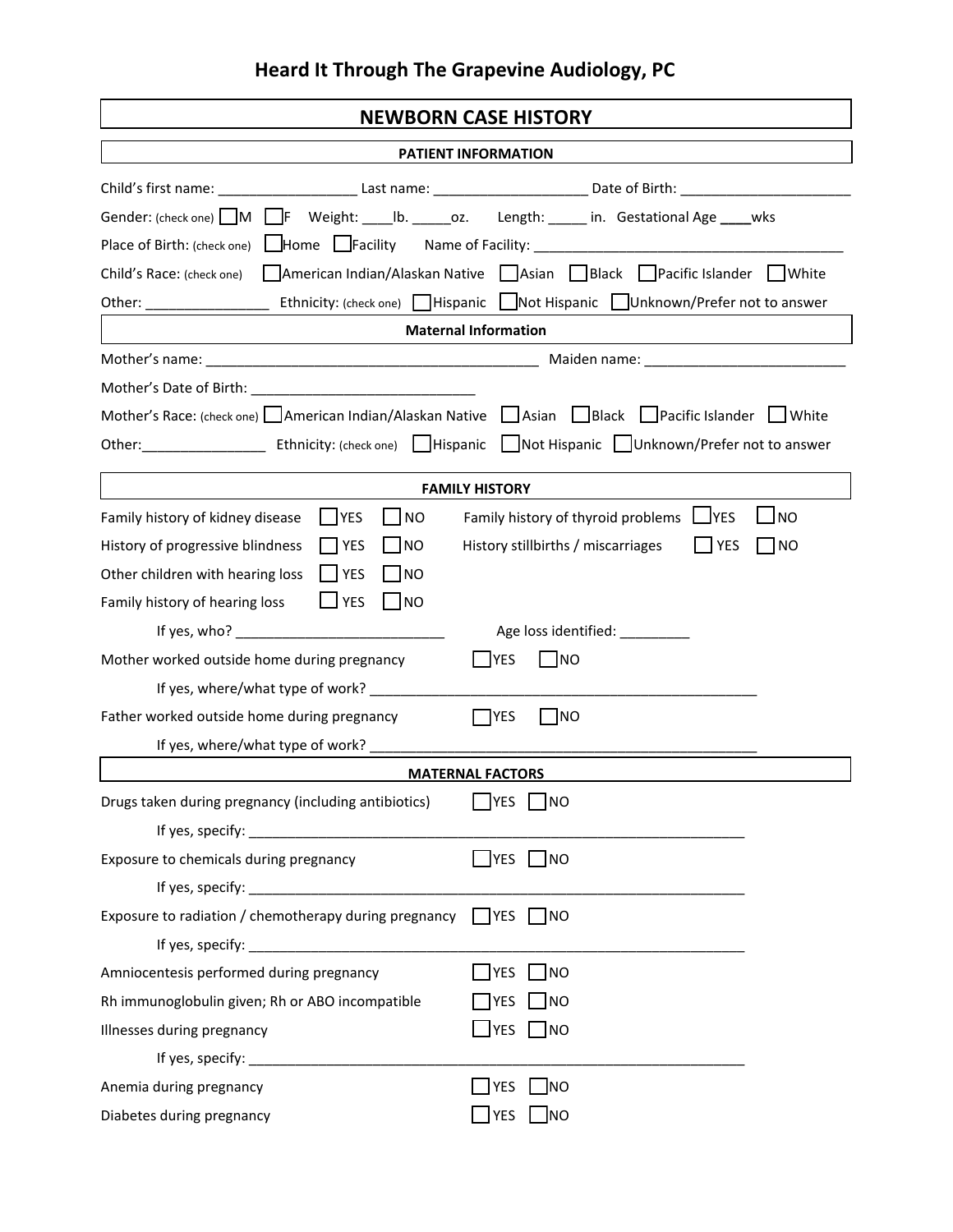## **Heard It Through The Grapevine Audiology, PC**

| <b>NEWBORN CASE HISTORY</b>                                                                                                              |  |  |  |  |  |
|------------------------------------------------------------------------------------------------------------------------------------------|--|--|--|--|--|
| PATIENT INFORMATION                                                                                                                      |  |  |  |  |  |
| Child's first name: ____________________________Last name: ____________________________Date of Birth: _________________________________  |  |  |  |  |  |
| Gender: (check one) M F Weight: ____ Ib. ______ oz. Length: _____ in. Gestational Age _____ wks                                          |  |  |  |  |  |
|                                                                                                                                          |  |  |  |  |  |
| Child's Race: (check one) American Indian/Alaskan Native Asian Black Pacific Islander White                                              |  |  |  |  |  |
|                                                                                                                                          |  |  |  |  |  |
| <b>Maternal Information</b>                                                                                                              |  |  |  |  |  |
|                                                                                                                                          |  |  |  |  |  |
|                                                                                                                                          |  |  |  |  |  |
| Mother's Race: (check one) American Indian/Alaskan Native Asian Black Pacific Islander White                                             |  |  |  |  |  |
| Other: Ethnicity: (check one)   Hispanic   Not Hispanic   Unknown/Prefer not to answer                                                   |  |  |  |  |  |
|                                                                                                                                          |  |  |  |  |  |
| <b>FAMILY HISTORY</b>                                                                                                                    |  |  |  |  |  |
| <b>NES</b><br>  NO<br>Family history of thyroid problems LVES<br><b>NO</b><br>Family history of kidney disease                           |  |  |  |  |  |
| <b>NO YES</b><br>$\vert$ $\vert$ NO<br><b>YES</b><br><b>NO</b><br>History of progressive blindness<br>History stillbirths / miscarriages |  |  |  |  |  |
| Other children with hearing loss<br>$ $   YES<br><b>INO</b><br>$\Box$ YES<br>$\Box$ NO<br>Family history of hearing loss                 |  |  |  |  |  |
|                                                                                                                                          |  |  |  |  |  |
| If yes, who? $\qquad \qquad$<br>Age loss identified: _________                                                                           |  |  |  |  |  |
| Mother worked outside home during pregnancy<br><b>IYES</b><br>l Ino                                                                      |  |  |  |  |  |
| If yes, where/what type of work? _____________<br>Father worked outside home during pregnancy<br>I INO<br>I IYES                         |  |  |  |  |  |
|                                                                                                                                          |  |  |  |  |  |
| <b>MATERNAL FACTORS</b>                                                                                                                  |  |  |  |  |  |
| Drugs taken during pregnancy (including antibiotics)<br> NO                                                                              |  |  |  |  |  |
|                                                                                                                                          |  |  |  |  |  |
| $\Box$ YES $\Box$ NO<br>Exposure to chemicals during pregnancy                                                                           |  |  |  |  |  |
|                                                                                                                                          |  |  |  |  |  |
| Exposure to radiation / chemotherapy during pregnancy $\Box$ YES $\Box$ NO                                                               |  |  |  |  |  |
|                                                                                                                                          |  |  |  |  |  |
| <b>YES</b><br> NO<br>Amniocentesis performed during pregnancy                                                                            |  |  |  |  |  |
| <b>TYES</b><br> NO<br>Rh immunoglobulin given; Rh or ABO incompatible                                                                    |  |  |  |  |  |
| $ $ YES $ $ NO<br>Illnesses during pregnancy                                                                                             |  |  |  |  |  |
|                                                                                                                                          |  |  |  |  |  |
| <b>TYES</b><br>$\overline{\mathsf{NO}}$<br>Anemia during pregnancy                                                                       |  |  |  |  |  |
| <b>JYES</b><br><b>NO</b><br>Diabetes during pregnancy                                                                                    |  |  |  |  |  |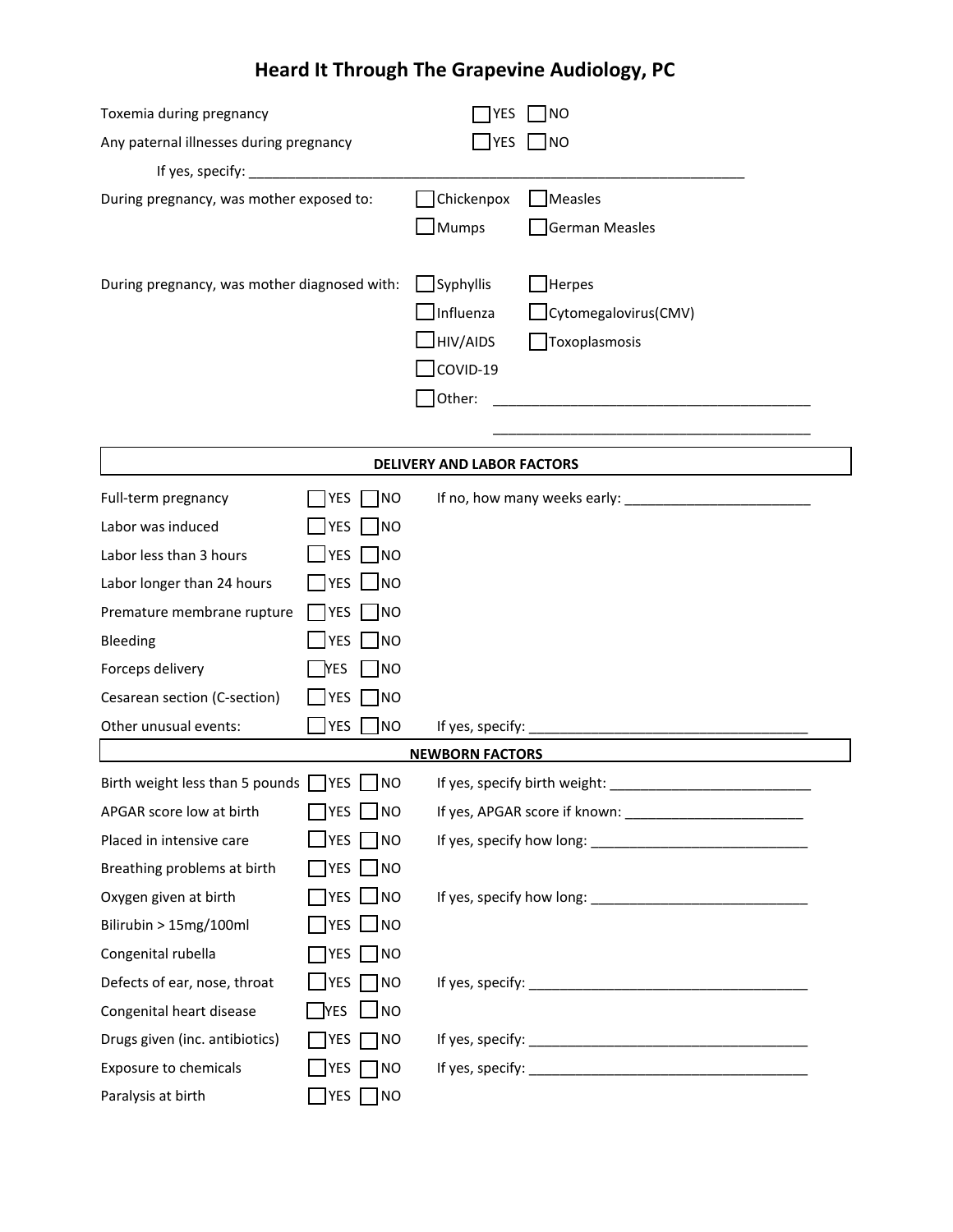## **Heard It Through The Grapevine Audiology, PC**

| Toxemia during pregnancy                             |                                           | YES                    | <b>NO</b>                                                                                                            |  |  |  |  |
|------------------------------------------------------|-------------------------------------------|------------------------|----------------------------------------------------------------------------------------------------------------------|--|--|--|--|
| Any paternal illnesses during pregnancy              |                                           | YES                    | <b>NO</b>                                                                                                            |  |  |  |  |
|                                                      |                                           |                        |                                                                                                                      |  |  |  |  |
| During pregnancy, was mother exposed to:             |                                           | Chickenpox             | Measles                                                                                                              |  |  |  |  |
|                                                      |                                           | Mumps                  | <b>German Measles</b>                                                                                                |  |  |  |  |
|                                                      |                                           |                        |                                                                                                                      |  |  |  |  |
| During pregnancy, was mother diagnosed with:         |                                           | Syphyllis              | <b>Herpes</b>                                                                                                        |  |  |  |  |
|                                                      |                                           | Influenza              | Cytomegalovirus(CMV)                                                                                                 |  |  |  |  |
|                                                      |                                           | $\exists$ HIV/AIDS     | Toxoplasmosis                                                                                                        |  |  |  |  |
|                                                      |                                           | $J$ COVID-19           |                                                                                                                      |  |  |  |  |
|                                                      |                                           | Other:                 | <u> 1980 - Johann Barn, mars ar breithinn ar breithinn ar breithinn ar breithinn ar breithinn ar breithinn ar br</u> |  |  |  |  |
|                                                      |                                           |                        |                                                                                                                      |  |  |  |  |
| DELIVERY AND LABOR FACTORS                           |                                           |                        |                                                                                                                      |  |  |  |  |
| Full-term pregnancy                                  | YES<br><b>NO</b>                          |                        |                                                                                                                      |  |  |  |  |
| Labor was induced                                    | YES<br>N                                  |                        |                                                                                                                      |  |  |  |  |
| Labor less than 3 hours                              | YES<br> NO                                |                        |                                                                                                                      |  |  |  |  |
| Labor longer than 24 hours                           | _lyes ___lno                              |                        |                                                                                                                      |  |  |  |  |
| Premature membrane rupture                           | $\Box$ NO<br>  YES                        |                        |                                                                                                                      |  |  |  |  |
| Bleeding                                             | <b>YES</b><br>$\Box$ NO                   |                        |                                                                                                                      |  |  |  |  |
| Forceps delivery                                     | $\blacksquare$ NO<br><b>YES</b>           |                        |                                                                                                                      |  |  |  |  |
| Cesarean section (C-section)                         | <b>YES</b><br>$\Box$ NO                   |                        |                                                                                                                      |  |  |  |  |
| Other unusual events:                                | YES NO                                    |                        |                                                                                                                      |  |  |  |  |
|                                                      |                                           | <b>NEWBORN FACTORS</b> |                                                                                                                      |  |  |  |  |
| Birth weight less than 5 pounds $\Box$ YES $\Box$ NO |                                           |                        | If yes, specify birth weight:                                                                                        |  |  |  |  |
| APGAR score low at birth                             | $\bigcap$ yes $\bigcup$ no                |                        |                                                                                                                      |  |  |  |  |
| Placed in intensive care                             | $\sqcup$ YES $\lceil$<br>$\neg$ NO        |                        |                                                                                                                      |  |  |  |  |
| Breathing problems at birth                          | $\Box$ yes $\Box$ no                      |                        |                                                                                                                      |  |  |  |  |
| Oxygen given at birth                                | $7$ yes $\Box$ no                         |                        |                                                                                                                      |  |  |  |  |
| Bilirubin > 15mg/100ml                               | $\overline{\ }$ yes $\Box$ no             |                        |                                                                                                                      |  |  |  |  |
| Congenital rubella                                   | $\Box$ NO<br><b>YES</b>                   |                        |                                                                                                                      |  |  |  |  |
| Defects of ear, nose, throat                         | $J$ yes $\Box$ no                         |                        |                                                                                                                      |  |  |  |  |
| Congenital heart disease                             | <b>YES</b><br>$\overline{\phantom{a}}$ NO |                        |                                                                                                                      |  |  |  |  |
| Drugs given (inc. antibiotics)                       | <b>YES</b><br>$\neg$ NO                   |                        |                                                                                                                      |  |  |  |  |
| <b>Exposure to chemicals</b>                         | YES  <br>$\neg$ NO                        |                        |                                                                                                                      |  |  |  |  |
| Paralysis at birth                                   | <b>PES</b> $\Box$ NO                      |                        |                                                                                                                      |  |  |  |  |